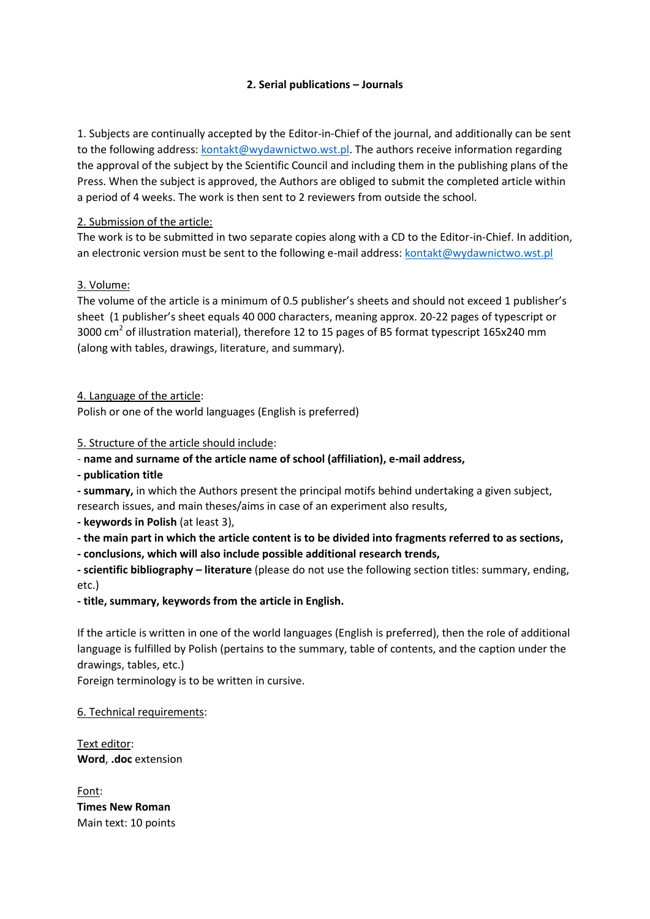# **2. Serial publications – Journals**

1. Subjects are continually accepted by the Editor-in-Chief of the journal, and additionally can be sent to the following address: [kontakt@wydawnictwo.wst.pl.](mailto:kontakt@wydawnictwo.wst.pl) The authors receive information regarding the approval of the subject by the Scientific Council and including them in the publishing plans of the Press. When the subject is approved, the Authors are obliged to submit the completed article within a period of 4 weeks. The work is then sent to 2 reviewers from outside the school.

#### 2. Submission of the article:

The work is to be submitted in two separate copies along with a CD to the Editor-in-Chief. In addition, an electronic version must be sent to the following e-mail address: [kontakt@wydawnictwo.wst.pl](mailto:kontakt@wydawnictwo.wst.pl)

# 3. Volume:

The volume of the article is a minimum of 0.5 publisher's sheets and should not exceed 1 publisher's sheet (1 publisher's sheet equals 40 000 characters, meaning approx. 20-22 pages of typescript or 3000 cm<sup>2</sup> of illustration material), therefore 12 to 15 pages of B5 format typescript 165x240 mm (along with tables, drawings, literature, and summary).

#### 4. Language of the article:

Polish or one of the world languages (English is preferred)

5. Structure of the article should include:

- **name and surname of the article name of school (affiliation), e-mail address,**
- **- publication title**

**- summary,** in which the Authors present the principal motifs behind undertaking a given subject, research issues, and main theses/aims in case of an experiment also results,

**- keywords in Polish** (at least 3),

**- the main part in which the article content is to be divided into fragments referred to as sections,**

**- conclusions, which will also include possible additional research trends,**

**- scientific bibliography – literature** (please do not use the following section titles: summary, ending, etc.)

# **- title, summary, keywords from the article in English.**

If the article is written in one of the world languages (English is preferred), then the role of additional language is fulfilled by Polish (pertains to the summary, table of contents, and the caption under the drawings, tables, etc.)

Foreign terminology is to be written in cursive.

#### 6. Technical requirements:

Text editor: **Word**, **.doc** extension

Font: **Times New Roman** Main text: 10 points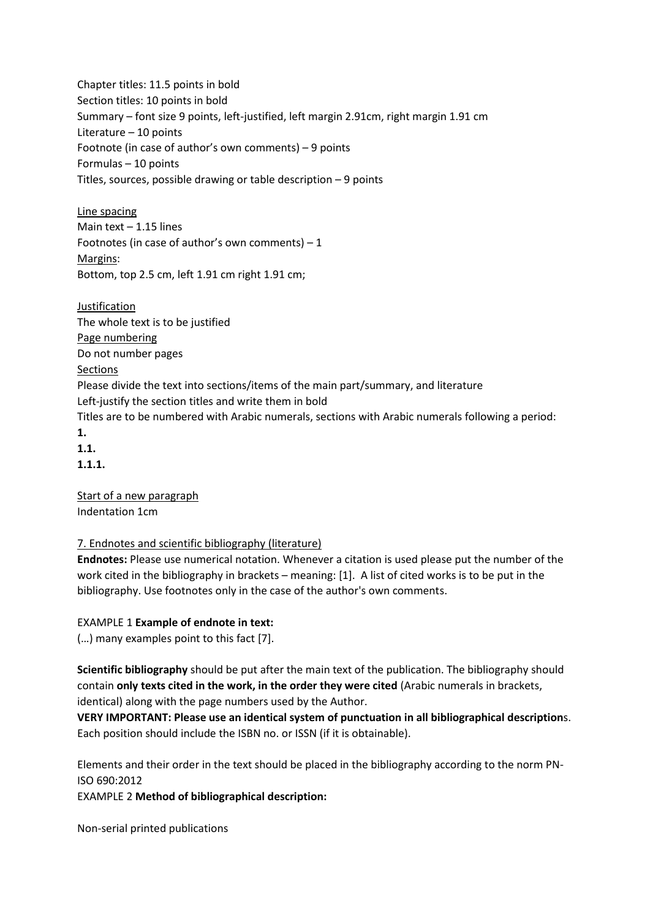Chapter titles: 11.5 points in bold Section titles: 10 points in bold Summary – font size 9 points, left-justified, left margin 2.91cm, right margin 1.91 cm Literature – 10 points Footnote (in case of author's own comments) – 9 points Formulas – 10 points Titles, sources, possible drawing or table description – 9 points

Line spacing Main text – 1.15 lines Footnotes (in case of author's own comments)  $-1$ Margins: Bottom, top 2.5 cm, left 1.91 cm right 1.91 cm;

Justification The whole text is to be justified Page numbering Do not number pages Sections Please divide the text into sections/items of the main part/summary, and literature Left-justify the section titles and write them in bold Titles are to be numbered with Arabic numerals, sections with Arabic numerals following a period: **1. 1.1. 1.1.1.**

Start of a new paragraph Indentation 1cm

# 7. Endnotes and scientific bibliography (literature)

**Endnotes:** Please use numerical notation. Whenever a citation is used please put the number of the work cited in the bibliography in brackets – meaning: [1]. A list of cited works is to be put in the bibliography. Use footnotes only in the case of the author's own comments.

# EXAMPLE 1 **Example of endnote in text:**

(…) many examples point to this fact [7].

**Scientific bibliography** should be put after the main text of the publication. The bibliography should contain **only texts cited in the work, in the order they were cited** (Arabic numerals in brackets, identical) along with the page numbers used by the Author.

**VERY IMPORTANT: Please use an identical system of punctuation in all bibliographical description**s. Each position should include the ISBN no. or ISSN (if it is obtainable).

Elements and their order in the text should be placed in the bibliography according to the norm PN-ISO 690:2012

EXAMPLE 2 **Method of bibliographical description:**

Non-serial printed publications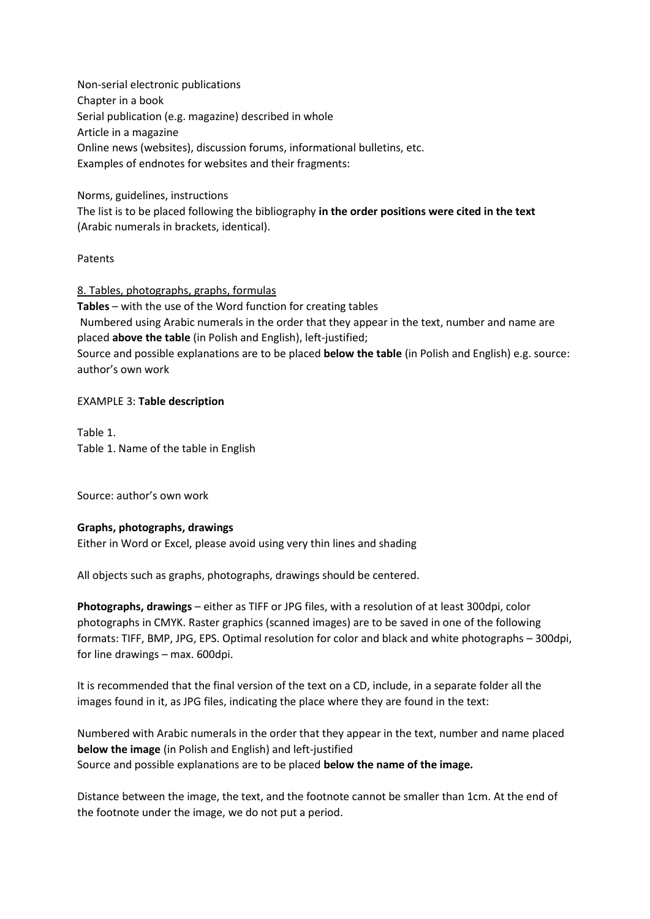Non-serial electronic publications Chapter in a book Serial publication (e.g. magazine) described in whole Article in a magazine Online news (websites), discussion forums, informational bulletins, etc. Examples of endnotes for websites and their fragments:

#### Norms, guidelines, instructions

The list is to be placed following the bibliography **in the order positions were cited in the text** (Arabic numerals in brackets, identical).

#### **Patents**

8. Tables, photographs, graphs, formulas **Tables** – with the use of the Word function for creating tables Numbered using Arabic numerals in the order that they appear in the text, number and name are placed **above the table** (in Polish and English), left-justified; Source and possible explanations are to be placed **below the table** (in Polish and English) e.g. source: author's own work

# EXAMPLE 3: **Table description**

Table 1. Table 1. Name of the table in English

Source: author's own work

# **Graphs, photographs, drawings**

Either in Word or Excel, please avoid using very thin lines and shading

All objects such as graphs, photographs, drawings should be centered.

**Photographs, drawings** – either as TIFF or JPG files, with a resolution of at least 300dpi, color photographs in CMYK. Raster graphics (scanned images) are to be saved in one of the following formats: TIFF, BMP, JPG, EPS. Optimal resolution for color and black and white photographs – 300dpi, for line drawings – max. 600dpi.

It is recommended that the final version of the text on a CD, include, in a separate folder all the images found in it, as JPG files, indicating the place where they are found in the text:

Numbered with Arabic numerals in the order that they appear in the text, number and name placed **below the image** (in Polish and English) and left-justified Source and possible explanations are to be placed **below the name of the image.**

Distance between the image, the text, and the footnote cannot be smaller than 1cm. At the end of the footnote under the image, we do not put a period.